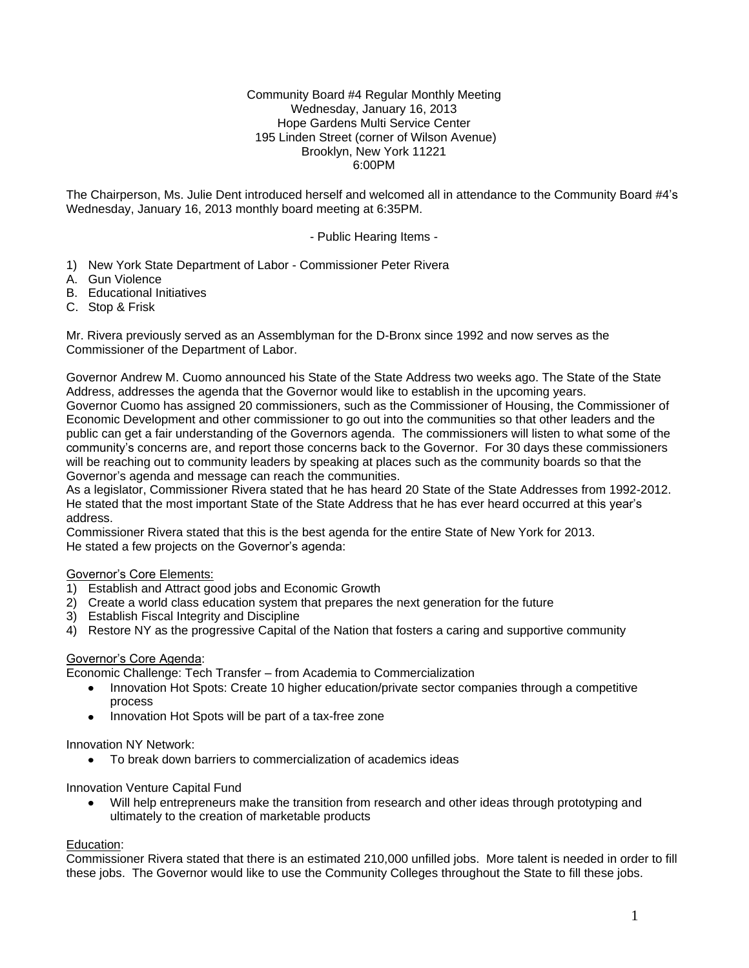### Community Board #4 Regular Monthly Meeting Wednesday, January 16, 2013 Hope Gardens Multi Service Center 195 Linden Street (corner of Wilson Avenue) Brooklyn, New York 11221 6:00PM

The Chairperson, Ms. Julie Dent introduced herself and welcomed all in attendance to the Community Board #4's Wednesday, January 16, 2013 monthly board meeting at 6:35PM.

### - Public Hearing Items -

- 1) New York State Department of Labor Commissioner Peter Rivera
- A. Gun Violence
- B. Educational Initiatives
- C. Stop & Frisk

Mr. Rivera previously served as an Assemblyman for the D-Bronx since 1992 and now serves as the Commissioner of the Department of Labor.

Governor Andrew M. Cuomo announced his State of the State Address two weeks ago. The State of the State Address, addresses the agenda that the Governor would like to establish in the upcoming years. Governor Cuomo has assigned 20 commissioners, such as the Commissioner of Housing, the Commissioner of Economic Development and other commissioner to go out into the communities so that other leaders and the public can get a fair understanding of the Governors agenda. The commissioners will listen to what some of the community's concerns are, and report those concerns back to the Governor. For 30 days these commissioners will be reaching out to community leaders by speaking at places such as the community boards so that the Governor's agenda and message can reach the communities.

As a legislator, Commissioner Rivera stated that he has heard 20 State of the State Addresses from 1992-2012. He stated that the most important State of the State Address that he has ever heard occurred at this year's address.

Commissioner Rivera stated that this is the best agenda for the entire State of New York for 2013. He stated a few projects on the Governor's agenda:

### Governor's Core Elements:

- 1) Establish and Attract good jobs and Economic Growth
- 2) Create a world class education system that prepares the next generation for the future
- 3) Establish Fiscal Integrity and Discipline
- 4) Restore NY as the progressive Capital of the Nation that fosters a caring and supportive community

### Governor's Core Agenda:

Economic Challenge: Tech Transfer – from Academia to Commercialization

- Innovation Hot Spots: Create 10 higher education/private sector companies through a competitive process
- Innovation Hot Spots will be part of a tax-free zone

Innovation NY Network:

To break down barriers to commercialization of academics ideas

### Innovation Venture Capital Fund

Will help entrepreneurs make the transition from research and other ideas through prototyping and ultimately to the creation of marketable products

# Education:

Commissioner Rivera stated that there is an estimated 210,000 unfilled jobs. More talent is needed in order to fill these jobs. The Governor would like to use the Community Colleges throughout the State to fill these jobs.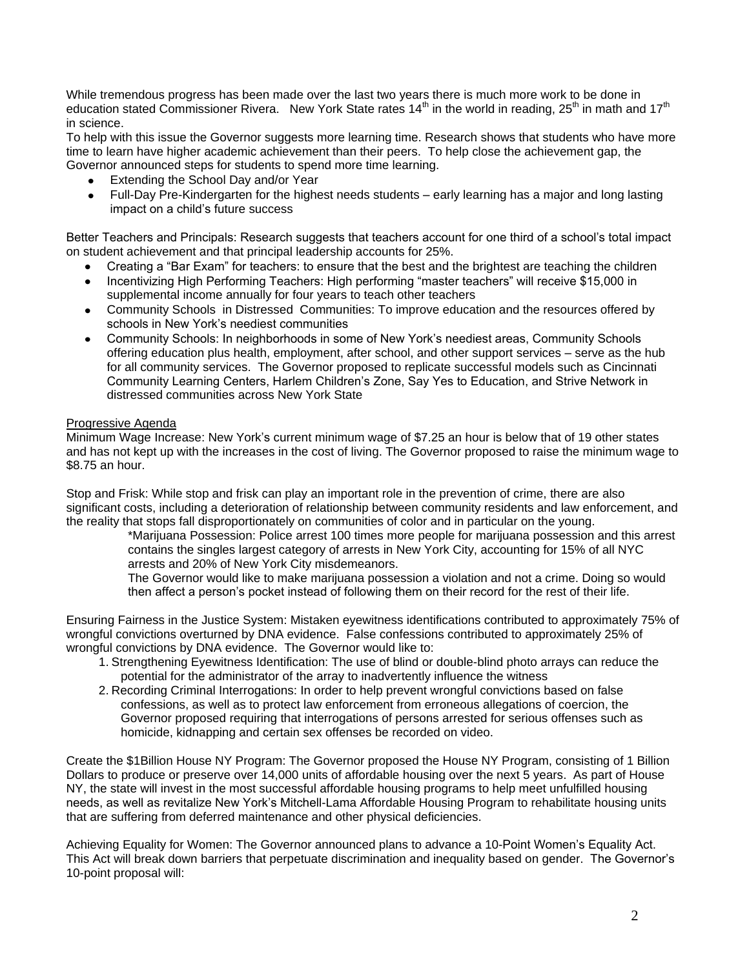While tremendous progress has been made over the last two years there is much more work to be done in education stated Commissioner Rivera. New York State rates 14<sup>th</sup> in the world in reading, 25<sup>th</sup> in math and 17<sup>th</sup> in science.

To help with this issue the Governor suggests more learning time. Research shows that students who have more time to learn have higher academic achievement than their peers. To help close the achievement gap, the Governor announced steps for students to spend more time learning.

- Extending the School Day and/or Year
- Full-Day Pre-Kindergarten for the highest needs students early learning has a major and long lasting impact on a child's future success

Better Teachers and Principals: Research suggests that teachers account for one third of a school's total impact on student achievement and that principal leadership accounts for 25%.

- Creating a "Bar Exam" for teachers: to ensure that the best and the brightest are teaching the children
- Incentivizing High Performing Teachers: High performing "master teachers" will receive \$15,000 in supplemental income annually for four years to teach other teachers
- $\bullet$ Community Schools in Distressed Communities: To improve education and the resources offered by schools in New York's neediest communities
- Community Schools: In neighborhoods in some of New York's neediest areas, Community Schools  $\bullet$ offering education plus health, employment, after school, and other support services – serve as the hub for all community services. The Governor proposed to replicate successful models such as Cincinnati Community Learning Centers, Harlem Children's Zone, Say Yes to Education, and Strive Network in distressed communities across New York State

# Progressive Agenda

Minimum Wage Increase: New York's current minimum wage of \$7.25 an hour is below that of 19 other states and has not kept up with the increases in the cost of living. The Governor proposed to raise the minimum wage to \$8.75 an hour.

Stop and Frisk: While stop and frisk can play an important role in the prevention of crime, there are also significant costs, including a deterioration of relationship between community residents and law enforcement, and the reality that stops fall disproportionately on communities of color and in particular on the young.

\*Marijuana Possession: Police arrest 100 times more people for marijuana possession and this arrest contains the singles largest category of arrests in New York City, accounting for 15% of all NYC arrests and 20% of New York City misdemeanors.

The Governor would like to make marijuana possession a violation and not a crime. Doing so would then affect a person's pocket instead of following them on their record for the rest of their life.

Ensuring Fairness in the Justice System: Mistaken eyewitness identifications contributed to approximately 75% of wrongful convictions overturned by DNA evidence. False confessions contributed to approximately 25% of wrongful convictions by DNA evidence. The Governor would like to:

- 1. Strengthening Eyewitness Identification: The use of blind or double-blind photo arrays can reduce the potential for the administrator of the array to inadvertently influence the witness
- 2. Recording Criminal Interrogations: In order to help prevent wrongful convictions based on false confessions, as well as to protect law enforcement from erroneous allegations of coercion, the Governor proposed requiring that interrogations of persons arrested for serious offenses such as homicide, kidnapping and certain sex offenses be recorded on video.

Create the \$1Billion House NY Program: The Governor proposed the House NY Program, consisting of 1 Billion Dollars to produce or preserve over 14,000 units of affordable housing over the next 5 years. As part of House NY, the state will invest in the most successful affordable housing programs to help meet unfulfilled housing needs, as well as revitalize New York's Mitchell-Lama Affordable Housing Program to rehabilitate housing units that are suffering from deferred maintenance and other physical deficiencies.

Achieving Equality for Women: The Governor announced plans to advance a 10-Point Women's Equality Act. This Act will break down barriers that perpetuate discrimination and inequality based on gender. The Governor's 10-point proposal will: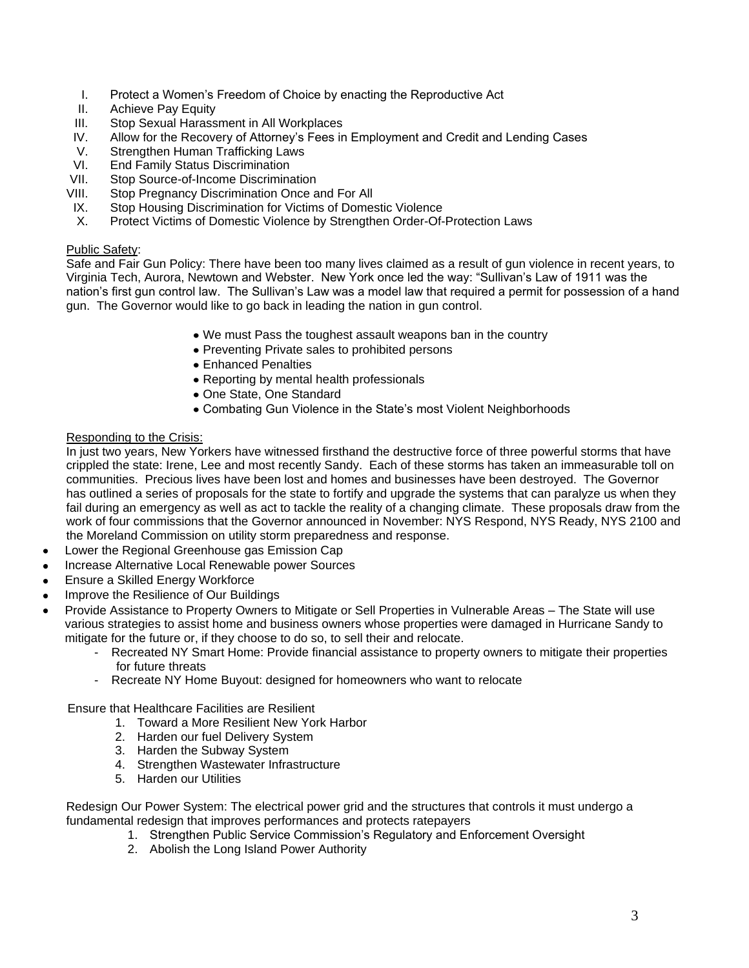- I. Protect a Women's Freedom of Choice by enacting the Reproductive Act
- II. Achieve Pay Equity
- III. Stop Sexual Harassment in All Workplaces
- IV. Allow for the Recovery of Attorney's Fees in Employment and Credit and Lending Cases
- V. Strengthen Human Trafficking Laws
- VI. End Family Status Discrimination
- VII. Stop Source-of-Income Discrimination
- VIII. Stop Pregnancy Discrimination Once and For All
- IX. Stop Housing Discrimination for Victims of Domestic Violence<br>
X. Protect Victims of Domestic Violence by Strengthen Order-Of-
- Protect Victims of Domestic Violence by Strengthen Order-Of-Protection Laws

### Public Safety:

Safe and Fair Gun Policy: There have been too many lives claimed as a result of gun violence in recent years, to Virginia Tech, Aurora, Newtown and Webster. New York once led the way: "Sullivan's Law of 1911 was the nation's first gun control law. The Sullivan's Law was a model law that required a permit for possession of a hand gun. The Governor would like to go back in leading the nation in gun control.

- We must Pass the toughest assault weapons ban in the country
- Preventing Private sales to prohibited persons
- Enhanced Penalties
- Reporting by mental health professionals
- One State, One Standard
- Combating Gun Violence in the State's most Violent Neighborhoods

### Responding to the Crisis:

In just two years, New Yorkers have witnessed firsthand the destructive force of three powerful storms that have crippled the state: Irene, Lee and most recently Sandy. Each of these storms has taken an immeasurable toll on communities. Precious lives have been lost and homes and businesses have been destroyed. The Governor has outlined a series of proposals for the state to fortify and upgrade the systems that can paralyze us when they fail during an emergency as well as act to tackle the reality of a changing climate. These proposals draw from the work of four commissions that the Governor announced in November: NYS Respond, NYS Ready, NYS 2100 and the Moreland Commission on utility storm preparedness and response.

- Lower the Regional Greenhouse gas Emission Cap  $\bullet$
- Increase Alternative Local Renewable power Sources
- Ensure a Skilled Energy Workforce
- Improve the Resilience of Our Buildings
- Provide Assistance to Property Owners to Mitigate or Sell Properties in Vulnerable Areas The State will use various strategies to assist home and business owners whose properties were damaged in Hurricane Sandy to mitigate for the future or, if they choose to do so, to sell their and relocate.
	- Recreated NY Smart Home: Provide financial assistance to property owners to mitigate their properties for future threats
	- Recreate NY Home Buyout: designed for homeowners who want to relocate

Ensure that Healthcare Facilities are Resilient

- 1. Toward a More Resilient New York Harbor
- 2. Harden our fuel Delivery System
- 3. Harden the Subway System
- 4. Strengthen Wastewater Infrastructure
- 5. Harden our Utilities

Redesign Our Power System: The electrical power grid and the structures that controls it must undergo a fundamental redesign that improves performances and protects ratepayers

- 1. Strengthen Public Service Commission's Regulatory and Enforcement Oversight
- 2. Abolish the Long Island Power Authority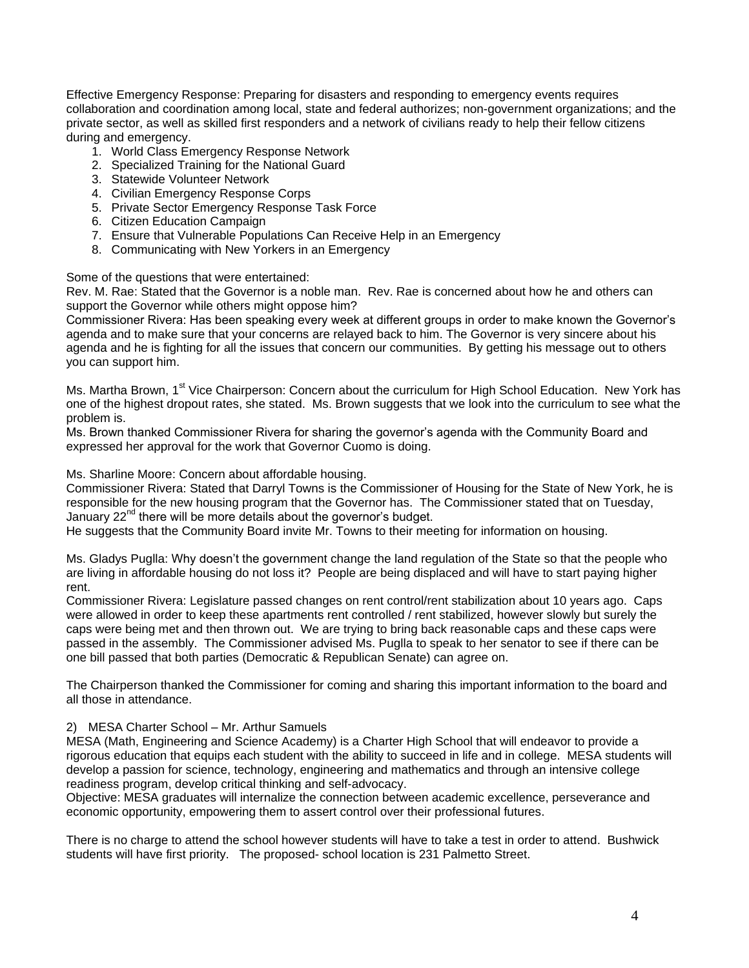Effective Emergency Response: Preparing for disasters and responding to emergency events requires collaboration and coordination among local, state and federal authorizes; non-government organizations; and the private sector, as well as skilled first responders and a network of civilians ready to help their fellow citizens during and emergency.

- 1. World Class Emergency Response Network
- 2. Specialized Training for the National Guard
- 3. Statewide Volunteer Network
- 4. Civilian Emergency Response Corps
- 5. Private Sector Emergency Response Task Force
- 6. Citizen Education Campaign
- 7. Ensure that Vulnerable Populations Can Receive Help in an Emergency
- 8. Communicating with New Yorkers in an Emergency

Some of the questions that were entertained:

Rev. M. Rae: Stated that the Governor is a noble man. Rev. Rae is concerned about how he and others can support the Governor while others might oppose him?

Commissioner Rivera: Has been speaking every week at different groups in order to make known the Governor's agenda and to make sure that your concerns are relayed back to him. The Governor is very sincere about his agenda and he is fighting for all the issues that concern our communities. By getting his message out to others you can support him.

Ms. Martha Brown, 1<sup>st</sup> Vice Chairperson: Concern about the curriculum for High School Education. New York has one of the highest dropout rates, she stated. Ms. Brown suggests that we look into the curriculum to see what the problem is.

Ms. Brown thanked Commissioner Rivera for sharing the governor's agenda with the Community Board and expressed her approval for the work that Governor Cuomo is doing.

Ms. Sharline Moore: Concern about affordable housing.

Commissioner Rivera: Stated that Darryl Towns is the Commissioner of Housing for the State of New York, he is responsible for the new housing program that the Governor has. The Commissioner stated that on Tuesday, January  $22^{nd}$  there will be more details about the governor's budget.

He suggests that the Community Board invite Mr. Towns to their meeting for information on housing.

Ms. Gladys Puglla: Why doesn't the government change the land regulation of the State so that the people who are living in affordable housing do not loss it? People are being displaced and will have to start paying higher rent.

Commissioner Rivera: Legislature passed changes on rent control/rent stabilization about 10 years ago. Caps were allowed in order to keep these apartments rent controlled / rent stabilized, however slowly but surely the caps were being met and then thrown out. We are trying to bring back reasonable caps and these caps were passed in the assembly. The Commissioner advised Ms. Puglla to speak to her senator to see if there can be one bill passed that both parties (Democratic & Republican Senate) can agree on.

The Chairperson thanked the Commissioner for coming and sharing this important information to the board and all those in attendance.

### 2) MESA Charter School – Mr. Arthur Samuels

MESA (Math, Engineering and Science Academy) is a Charter High School that will endeavor to provide a rigorous education that equips each student with the ability to succeed in life and in college. MESA students will develop a passion for science, technology, engineering and mathematics and through an intensive college readiness program, develop critical thinking and self-advocacy.

Objective: MESA graduates will internalize the connection between academic excellence, perseverance and economic opportunity, empowering them to assert control over their professional futures.

There is no charge to attend the school however students will have to take a test in order to attend. Bushwick students will have first priority. The proposed- school location is 231 Palmetto Street.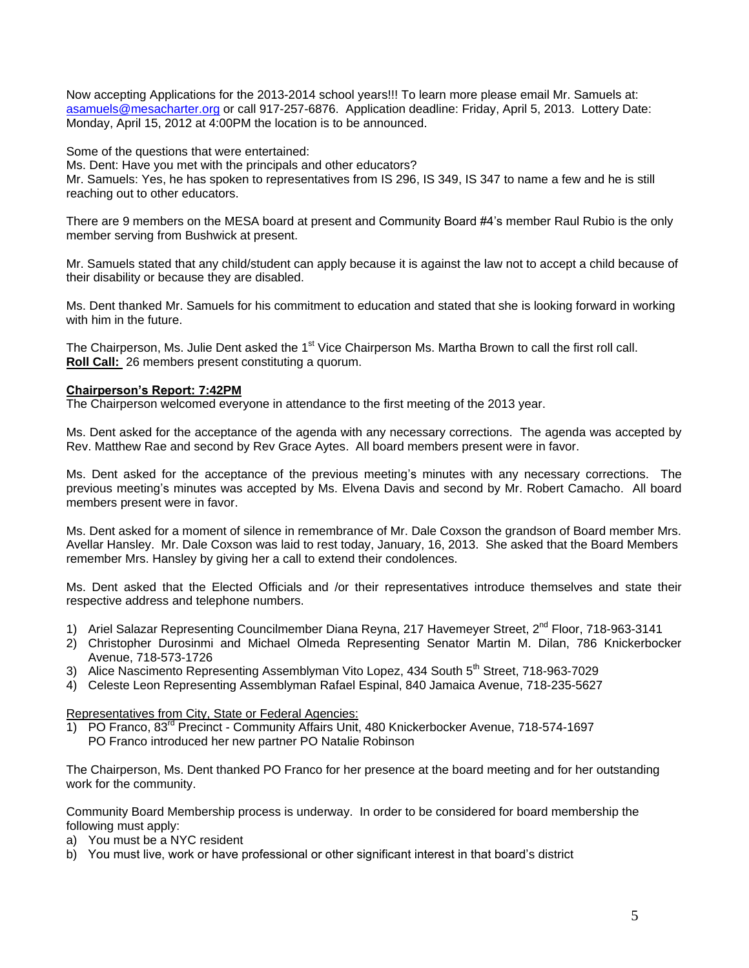Now accepting Applications for the 2013-2014 school years!!! To learn more please email Mr. Samuels at: [asamuels@mesacharter.org](mailto:asamuels@mesacharter.org) or call 917-257-6876. Application deadline: Friday, April 5, 2013. Lottery Date: Monday, April 15, 2012 at 4:00PM the location is to be announced.

Some of the questions that were entertained:

Ms. Dent: Have you met with the principals and other educators?

Mr. Samuels: Yes, he has spoken to representatives from IS 296, IS 349, IS 347 to name a few and he is still reaching out to other educators.

There are 9 members on the MESA board at present and Community Board #4's member Raul Rubio is the only member serving from Bushwick at present.

Mr. Samuels stated that any child/student can apply because it is against the law not to accept a child because of their disability or because they are disabled.

Ms. Dent thanked Mr. Samuels for his commitment to education and stated that she is looking forward in working with him in the future.

The Chairperson, Ms. Julie Dent asked the 1<sup>st</sup> Vice Chairperson Ms. Martha Brown to call the first roll call. **Roll Call:** 26 members present constituting a quorum.

### **Chairperson's Report: 7:42PM**

The Chairperson welcomed everyone in attendance to the first meeting of the 2013 year.

Ms. Dent asked for the acceptance of the agenda with any necessary corrections. The agenda was accepted by Rev. Matthew Rae and second by Rev Grace Aytes. All board members present were in favor.

Ms. Dent asked for the acceptance of the previous meeting's minutes with any necessary corrections. The previous meeting's minutes was accepted by Ms. Elvena Davis and second by Mr. Robert Camacho. All board members present were in favor.

Ms. Dent asked for a moment of silence in remembrance of Mr. Dale Coxson the grandson of Board member Mrs. Avellar Hansley. Mr. Dale Coxson was laid to rest today, January, 16, 2013. She asked that the Board Members remember Mrs. Hansley by giving her a call to extend their condolences.

Ms. Dent asked that the Elected Officials and /or their representatives introduce themselves and state their respective address and telephone numbers.

- 1) Ariel Salazar Representing Councilmember Diana Reyna, 217 Havemeyer Street, 2<sup>nd</sup> Floor, 718-963-3141
- 2) Christopher Durosinmi and Michael Olmeda Representing Senator Martin M. Dilan, 786 Knickerbocker Avenue, 718-573-1726
- 3) Alice Nascimento Representing Assemblyman Vito Lopez, 434 South 5<sup>th</sup> Street, 718-963-7029
- 4) Celeste Leon Representing Assemblyman Rafael Espinal, 840 Jamaica Avenue, 718-235-5627

### Representatives from City, State or Federal Agencies:

1) PO Franco, 83rd Precinct - Community Affairs Unit, 480 Knickerbocker Avenue, 718-574-1697 PO Franco introduced her new partner PO Natalie Robinson

The Chairperson, Ms. Dent thanked PO Franco for her presence at the board meeting and for her outstanding work for the community.

Community Board Membership process is underway. In order to be considered for board membership the following must apply:

- a) You must be a NYC resident
- b) You must live, work or have professional or other significant interest in that board's district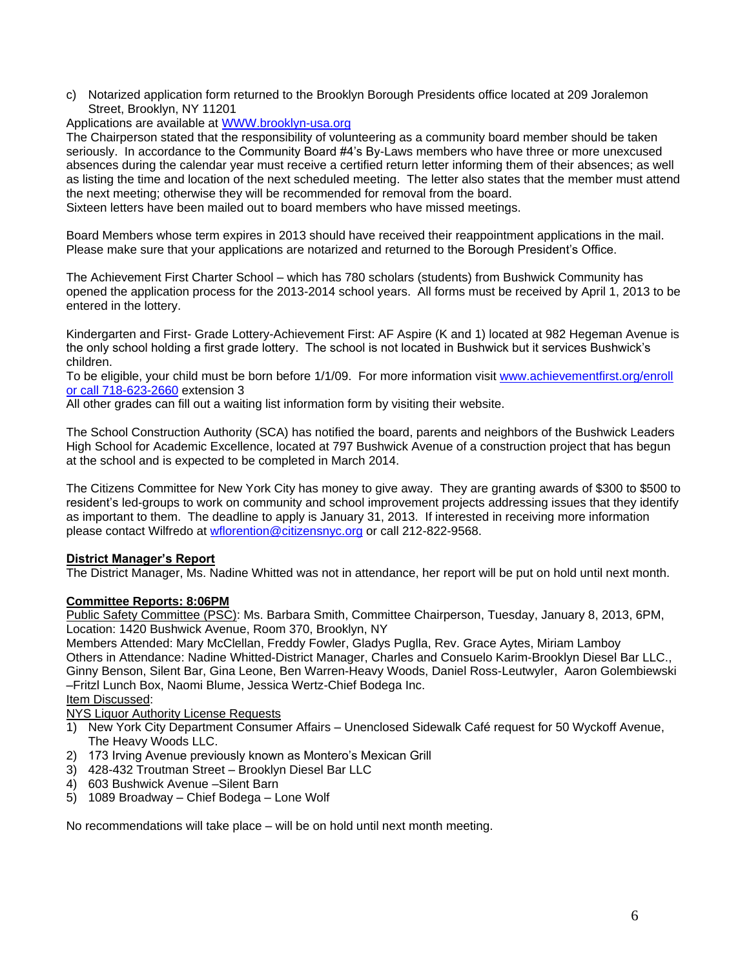c) Notarized application form returned to the Brooklyn Borough Presidents office located at 209 Joralemon Street, Brooklyn, NY 11201

## Applications are available at [WWW.brooklyn-usa.org](http://www.brooklyn-usa.org/)

The Chairperson stated that the responsibility of volunteering as a community board member should be taken seriously. In accordance to the Community Board #4's By-Laws members who have three or more unexcused absences during the calendar year must receive a certified return letter informing them of their absences; as well as listing the time and location of the next scheduled meeting. The letter also states that the member must attend the next meeting; otherwise they will be recommended for removal from the board. Sixteen letters have been mailed out to board members who have missed meetings.

Board Members whose term expires in 2013 should have received their reappointment applications in the mail. Please make sure that your applications are notarized and returned to the Borough President's Office.

The Achievement First Charter School – which has 780 scholars (students) from Bushwick Community has opened the application process for the 2013-2014 school years. All forms must be received by April 1, 2013 to be entered in the lottery.

Kindergarten and First- Grade Lottery-Achievement First: AF Aspire (K and 1) located at 982 Hegeman Avenue is the only school holding a first grade lottery. The school is not located in Bushwick but it services Bushwick's children.

To be eligible, your child must be born before 1/1/09. For more information visit www.achievementfirst.org/enroll [or call 718-623-2660](http://www.achievementfirst.org/enroll%20or%20call%20718-623-2660) extension 3

All other grades can fill out a waiting list information form by visiting their website.

The School Construction Authority (SCA) has notified the board, parents and neighbors of the Bushwick Leaders High School for Academic Excellence, located at 797 Bushwick Avenue of a construction project that has begun at the school and is expected to be completed in March 2014.

The Citizens Committee for New York City has money to give away. They are granting awards of \$300 to \$500 to resident's led-groups to work on community and school improvement projects addressing issues that they identify as important to them. The deadline to apply is January 31, 2013. If interested in receiving more information please contact Wilfredo at [wflorention@citizensnyc.org](mailto:wflorention@citizensnyc.org) or call 212-822-9568.

# **District Manager's Report**

The District Manager, Ms. Nadine Whitted was not in attendance, her report will be put on hold until next month.

# **Committee Reports: 8:06PM**

Public Safety Committee (PSC): Ms. Barbara Smith, Committee Chairperson, Tuesday, January 8, 2013, 6PM, Location: 1420 Bushwick Avenue, Room 370, Brooklyn, NY

Members Attended: Mary McClellan, Freddy Fowler, Gladys Puglla, Rev. Grace Aytes, Miriam Lamboy Others in Attendance: Nadine Whitted-District Manager, Charles and Consuelo Karim-Brooklyn Diesel Bar LLC., Ginny Benson, Silent Bar, Gina Leone, Ben Warren-Heavy Woods, Daniel Ross-Leutwyler, Aaron Golembiewski –Fritzl Lunch Box, Naomi Blume, Jessica Wertz-Chief Bodega Inc.

Item Discussed:

NYS Liquor Authority License Requests

- 1) New York City Department Consumer Affairs Unenclosed Sidewalk Café request for 50 Wyckoff Avenue, The Heavy Woods LLC.
- 2) 173 Irving Avenue previously known as Montero's Mexican Grill
- 3) 428-432 Troutman Street Brooklyn Diesel Bar LLC
- 4) 603 Bushwick Avenue –Silent Barn
- 5) 1089 Broadway Chief Bodega Lone Wolf

No recommendations will take place – will be on hold until next month meeting.